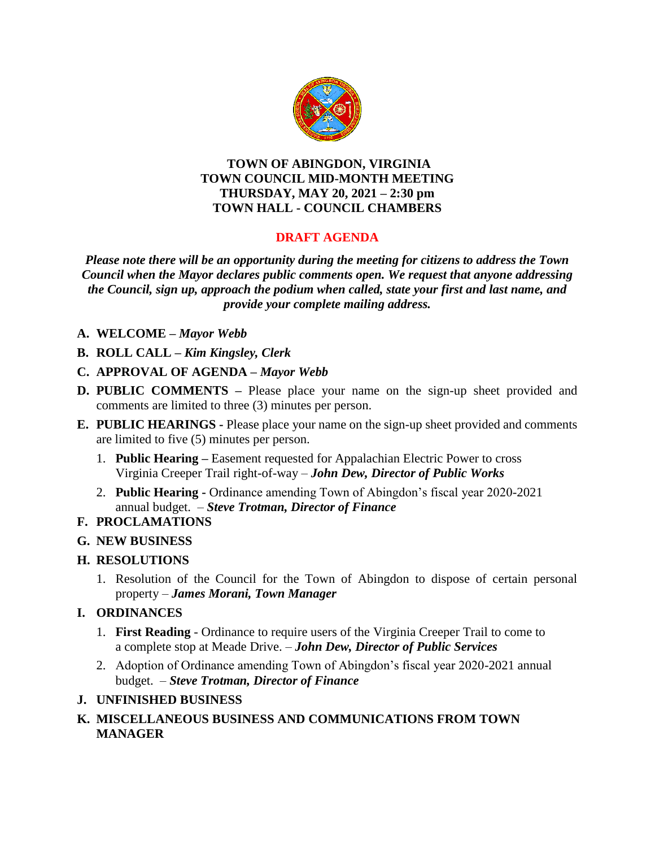

#### **TOWN OF ABINGDON, VIRGINIA TOWN COUNCIL MID-MONTH MEETING THURSDAY, MAY 20, 2021 – 2:30 pm TOWN HALL - COUNCIL CHAMBERS**

# **DRAFT AGENDA**

*Please note there will be an opportunity during the meeting for citizens to address the Town Council when the Mayor declares public comments open. We request that anyone addressing the Council, sign up, approach the podium when called, state your first and last name, and provide your complete mailing address.*

- **A. WELCOME –** *Mayor Webb*
- **B. ROLL CALL –** *Kim Kingsley, Clerk*

#### **C. APPROVAL OF AGENDA –** *Mayor Webb*

- **D. PUBLIC COMMENTS –** Please place your name on the sign-up sheet provided and comments are limited to three (3) minutes per person.
- **E. PUBLIC HEARINGS -** Please place your name on the sign-up sheet provided and comments are limited to five (5) minutes per person.
	- 1. **Public Hearing –** Easement requested for Appalachian Electric Power to cross Virginia Creeper Trail right-of-way – *John Dew, Director of Public Works*
	- 2. **Public Hearing -** Ordinance amending Town of Abingdon's fiscal year 2020-2021 annual budget. – *Steve Trotman, Director of Finance*

## **F. PROCLAMATIONS**

## **G. NEW BUSINESS**

## **H. RESOLUTIONS**

1. Resolution of the Council for the Town of Abingdon to dispose of certain personal property – *James Morani, Town Manager*

## **I. ORDINANCES**

- 1. **First Reading**  Ordinance to require users of the Virginia Creeper Trail to come to a complete stop at Meade Drive. – *John Dew, Director of Public Services*
- 2.Adoption of Ordinance amending Town of Abingdon's fiscal year 2020-2021 annual budget. – *Steve Trotman, Director of Finance*

#### **J. UNFINISHED BUSINESS**

## **K. MISCELLANEOUS BUSINESS AND COMMUNICATIONS FROM TOWN MANAGER**